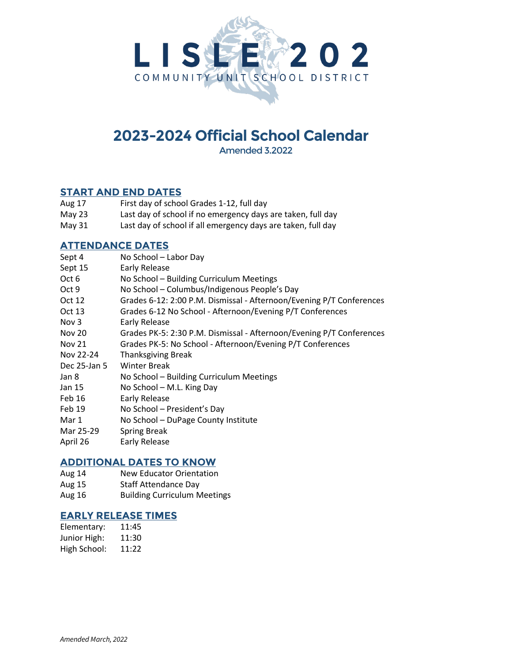

# **2023-2024 Official School Calendar**

Amended 3.2022

## **START AND END DATES**

| Aug 17 | First day of school Grades 1-12, full day                   |
|--------|-------------------------------------------------------------|
| May 23 | Last day of school if no emergency days are taken, full day |

May 31 Last day of school if all emergency days are taken, full day

## **ATTENDANCE DATES**

| Sept 4           | No School - Labor Day                                                |
|------------------|----------------------------------------------------------------------|
| Sept 15          | Early Release                                                        |
| Oct 6            | No School - Building Curriculum Meetings                             |
| Oct 9            | No School - Columbus/Indigenous People's Day                         |
| Oct 12           | Grades 6-12: 2:00 P.M. Dismissal - Afternoon/Evening P/T Conferences |
| Oct 13           | Grades 6-12 No School - Afternoon/Evening P/T Conferences            |
| Nov <sub>3</sub> | <b>Early Release</b>                                                 |
| <b>Nov 20</b>    | Grades PK-5: 2:30 P.M. Dismissal - Afternoon/Evening P/T Conferences |
| <b>Nov 21</b>    | Grades PK-5: No School - Afternoon/Evening P/T Conferences           |
| Nov 22-24        | <b>Thanksgiving Break</b>                                            |
| Dec 25-Jan 5     | <b>Winter Break</b>                                                  |
| Jan 8            | No School - Building Curriculum Meetings                             |
| Jan 15           | No School - M.L. King Day                                            |
| Feb 16           | <b>Early Release</b>                                                 |
| Feb 19           | No School - President's Day                                          |
| Mar 1            | No School - DuPage County Institute                                  |
| Mar 25-29        | <b>Spring Break</b>                                                  |
| April 26         | Early Release                                                        |

#### **ADDITIONAL DATES TO KNOW**

- Aug 14 New Educator Orientation
- Aug 15 Staff Attendance Day
- Aug 16 Building Curriculum Meetings

### **EARLY RELEASE TIMES**

Elementary: 11:45 Junior High: 11:30 High School: 11:22